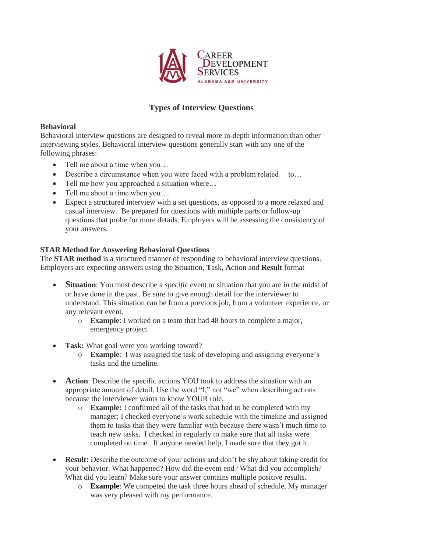

# **Types of Interview Questions**

### **Behavioral**

Behavioral interview questions are designed to reveal more in-depth information than other interviewing styles. Behavioral interview questions generally start with any one of the following phrases:

- Tell me about a time when you...
- Describe a circumstance when you were faced with a problem related to...
- Tell me how you approached a situation where...
- Tell me about a time when you....
- Expect a structured interview with a set questions, as opposed to a more relaxed and casual interview. Be prepared for questions with multiple parts or follow-up questions that probe for more details. Employers will be assessing the consistency of your answers.

# **STAR Method for Answering Behavioral Questions**

The **STAR method** is a structured manner of responding to behavioral interview questions. Employers are expecting answers using the **S**ituation, **T**ask, **A**ction and **Result** format

- **Situation**: You must describe a *specific* event or situation that you are in the midst of or have done in the past. Be sure to give enough detail for the interviewer to understand. This situation can be from a previous job, from a volunteer experience, or any relevant event.
	- o **Example**: I worked on a team that had 48 hours to complete a major, emergency project.
- **Task:** What goal were you working toward?
	- o **Example**: I was assigned the task of developing and assigning everyone's tasks and the timeline.
- **Action**: Describe the specific actions YOU took to address the situation with an appropriate amount of detail. Use the word "I," not "we" when describing actions because the interviewer wants to know YOUR role.
	- o **Example:** I confirmed all of the tasks that had to be completed with my manager; I checked everyone's work schedule with the timeline and assigned them to tasks that they were familiar with because there wasn't much time to teach new tasks. I checked in regularly to make sure that all tasks were completed on time. If anyone needed help, I made sure that they got it.
- **Result:** Describe the outcome of your actions and don't be shy about taking credit for your behavior. What happened? How did the event end? What did you accomplish? What did you learn? Make sure your answer contains multiple positive results.
	- o **Example**: We competed the task three hours ahead of schedule. My manager was very pleased with my performance.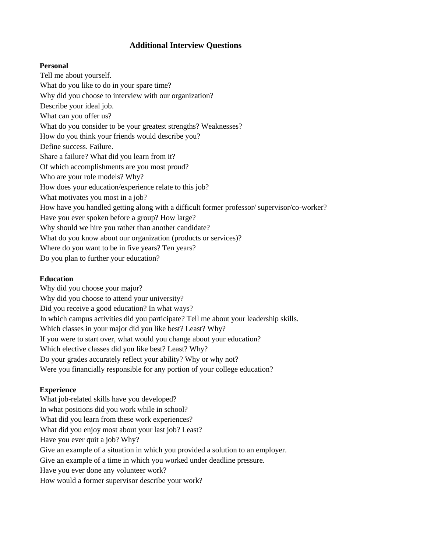# **Additional Interview Questions**

#### **Personal**

Tell me about yourself. What do you like to do in your spare time? Why did you choose to interview with our organization? Describe your ideal job. What can you offer us? What do you consider to be your greatest strengths? Weaknesses? How do you think your friends would describe you? Define success. Failure. Share a failure? What did you learn from it? Of which accomplishments are you most proud? Who are your role models? Why? How does your education/experience relate to this job? What motivates you most in a job? How have you handled getting along with a difficult former professor/ supervisor/co-worker? Have you ever spoken before a group? How large? Why should we hire you rather than another candidate? What do you know about our organization (products or services)? Where do you want to be in five years? Ten years? Do you plan to further your education?

#### **Education**

Why did you choose your major? Why did you choose to attend your university? Did you receive a good education? In what ways? In which campus activities did you participate? Tell me about your leadership skills. Which classes in your major did you like best? Least? Why? If you were to start over, what would you change about your education? Which elective classes did you like best? Least? Why? Do your grades accurately reflect your ability? Why or why not? Were you financially responsible for any portion of your college education?

## **Experience**

What job-related skills have you developed? In what positions did you work while in school? What did you learn from these work experiences? What did you enjoy most about your last job? Least? Have you ever quit a job? Why? Give an example of a situation in which you provided a solution to an employer. Give an example of a time in which you worked under deadline pressure. Have you ever done any volunteer work? How would a former supervisor describe your work?